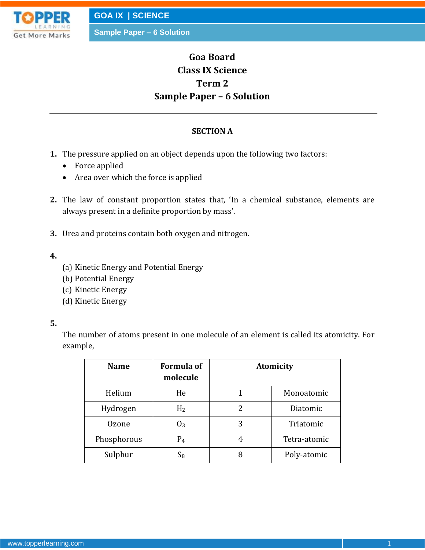

# **Goa Board Class IX Science Term 2 Sample Paper – 6 Solution**

#### **SECTION A**

- **1.** The pressure applied on an object depends upon the following two factors:
	- Force applied
	- Area over which the force is applied
- **2.** The law of constant proportion states that, 'In a chemical substance, elements are always present in a definite proportion by mass'.
- **3.** Urea and proteins contain both oxygen and nitrogen.
- **4.**
- (a) Kinetic Energy and Potential Energy
- (b) Potential Energy
- (c) Kinetic Energy
- (d) Kinetic Energy

#### **5.**

The number of atoms present in one molecule of an element is called its atomicity. For example,

| <b>Name</b>  | <b>Formula of</b><br>molecule | <b>Atomicity</b> |              |
|--------------|-------------------------------|------------------|--------------|
| Helium       | He                            |                  | Monoatomic   |
| Hydrogen     | H <sub>2</sub>                | 2                | Diatomic     |
| <b>Ozone</b> | $0_3$                         | 3                | Triatomic    |
| Phosphorous  | P <sub>4</sub>                | 4                | Tetra-atomic |
| Sulphur      | $S_8$                         |                  | Poly-atomic  |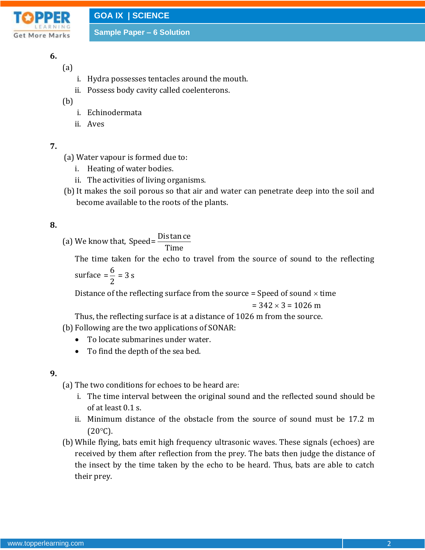

# **6.**

(a)

- i. Hydra possesses tentacles around the mouth.
- ii. Possess body cavity called coelenterons.
- (b)
	- i. Echinodermata
	- ii. Aves

# **7.**

- (a) Water vapour is formed due to:
	- i. Heating of water bodies.
	- ii. The activities of living organisms.
- (b) It makes the soil porous so that air and water can penetrate deep into the soil and become available to the roots of the plants.

# **8.**

(a) We know that, Speed =  $\frac{\text{Dis tan ce}}{\text{Im}}$ Time

The time taken for the echo to travel from the source of sound to the reflecting surface  $=\frac{6}{3}$  = 3 s 2

Distance of the reflecting surface from the source = Speed of sound  $\times$  time

$$
= 342 \times 3 = 1026
$$
 m

Thus, the reflecting surface is at a distance of 1026 m from the source.

- (b) Following are the two applications of SONAR:
	- To locate submarines under water.
	- To find the depth of the sea bed.

## **9.**

(a) The two conditions for echoes to be heard are:

- i. The time interval between the original sound and the reflected sound should be of at least 0.1 s.
- ii. Minimum distance of the obstacle from the source of sound must be 17.2 m  $(20^{\circ}C)$ .
- (b) While flying, bats emit high frequency ultrasonic waves. These signals (echoes) are received by them after reflection from the prey. The bats then judge the distance of the insect by the time taken by the echo to be heard. Thus, bats are able to catch their prey.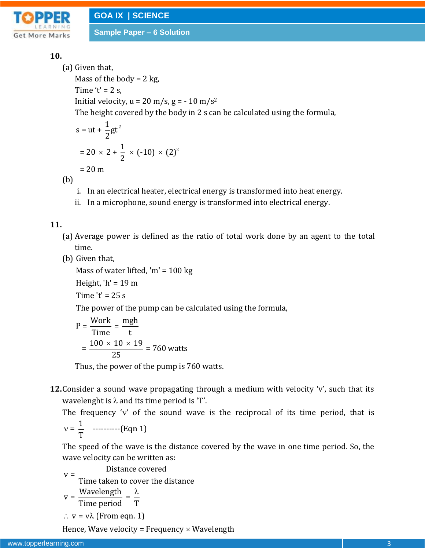

# **10.**

(a) Given that, Mass of the body =  $2$  kg, Time ' $t' = 2$  s, Initial velocity,  $u = 20$  m/s,  $g = -10$  m/s<sup>2</sup> The height covered by the body in 2 s can be calculated using the formula,

 $s = ut + \frac{1}{2}gt^2$ 

$$
s = ut + \frac{1}{2}gt^{2}
$$
  
= 20 × 2 +  $\frac{1}{2}$  × (-10) × (2)<sup>2</sup>  
= 20 m

(b)

- i. In an electrical heater, electrical energy is transformed into heat energy.
- ii. In a microphone, sound energy is transformed into electrical energy.

## **11.**

- (a) Average power is defined as the ratio of total work done by an agent to the total time.
- (b) Given that,

Mass of water lifted, 'm' =  $100 \text{ kg}$ 

Height, 'h' =  $19 \text{ m}$ 

Time  $'t' = 25 s$ 

The power of the pump can be calculated using the formula,

The power of the pump can be calc  
\n
$$
P = \frac{\text{Work}}{\text{Time}} = \frac{\text{mgh}}{t}
$$
\n
$$
= \frac{100 \times 10 \times 19}{25} = 760 \text{ watts}
$$

Thus, the power of the pump is 760 watts.

**12.**Consider a sound wave propagating through a medium with velocity 'v', such that its wavelenght is  $\lambda$  and its time period is 'T'.

The frequency 'v' of the sound wave is the reciprocal of its time period, that is

$$
v=\frac{1}{T}
$$
 \n $\ldots$  (Eqn 1)

The speed of the wave is the distance covered by the wave in one time period. So, the wave velocity can be written as:

$$
v = \frac{\text{Distance covered}}{\text{Time taken to cover the distance}}
$$
  

$$
v = \frac{\text{Wavelength}}{\text{Time period}} = \frac{\lambda}{T}
$$
  

$$
\therefore v = v\lambda \text{ (From eqn. 1)}
$$

Hence, Wave velocity = Frequency  $\times$  Wavelength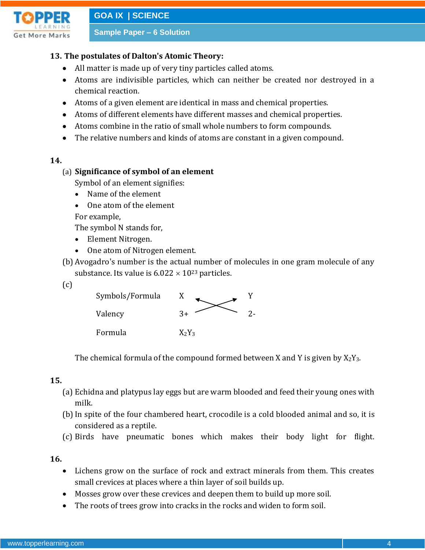

**GOA IX | SCIENCE**

**Sample Paper – 6 Solution**

#### **13. The postulates of Dalton's Atomic Theory:**

- All matter is made up of very tiny particles called atoms.
- Atoms are indivisible particles, which can neither be created nor destroyed in a chemical reaction.
- Atoms of a given element are identical in mass and chemical properties.
- Atoms of different elements have different masses and chemical properties.
- Atoms combine in the ratio of small whole numbers to form compounds.
- The relative numbers and kinds of atoms are constant in a given compound.

#### **14.**

#### (a) **Significance of symbol of an element**

Symbol of an element signifies:

- Name of the element
- One atom of the element

For example,

The symbol N stands for,

- Element Nitrogen.
- One atom of Nitrogen element.
- (b) Avogadro's number is the actual number of molecules in one gram molecule of any substance. Its value is  $6.022 \times 10^{23}$  particles.
- (c)



The chemical formula of the compound formed between X and Y is given by  $X_2Y_3$ .

#### **15.**

- (a) Echidna and platypus lay eggs but are warm blooded and feed their young ones with milk.
- (b) In spite of the four chambered heart, crocodile is a cold blooded animal and so, it is considered as a reptile.
- (c) Birds have pneumatic bones which makes their body light for flight.

**16.**

- Lichens grow on the surface of rock and extract minerals from them. This creates small crevices at places where a thin layer of soil builds up.
- Mosses grow over these crevices and deepen them to build up more soil.
- The roots of trees grow into cracks in the rocks and widen to form soil.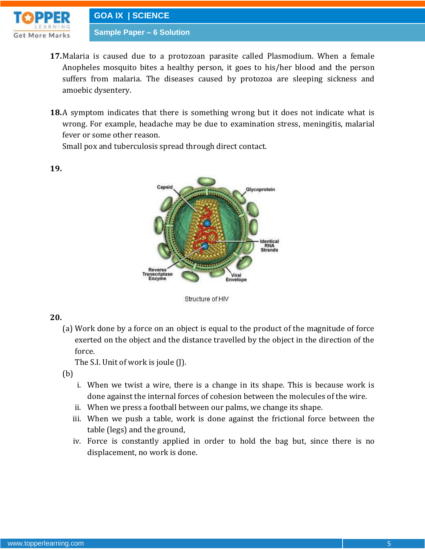

- **17.**Malaria is caused due to a protozoan parasite called Plasmodium. When a female Anopheles mosquito bites a healthy person, it goes to his/her blood and the person suffers from malaria. The diseases caused by protozoa are sleeping sickness and amoebic dysentery.
- **18.**A symptom indicates that there is something wrong but it does not indicate what is wrong. For example, headache may be due to examination stress, meningitis, malarial fever or some other reason.

Small pox and tuberculosis spread through direct contact.



**19.**



## **20.**

(a) Work done by a force on an object is equal to the product of the magnitude of force exerted on the object and the distance travelled by the object in the direction of the force.

The S.I. Unit of work is joule (J).

(b)

- i. When we twist a wire, there is a change in its shape. This is because work is done against the internal forces of cohesion between the molecules of the wire.
- ii. When we press a football between our palms, we change its shape.
- iii. When we push a table, work is done against the frictional force between the table (legs) and the ground,
- iv. Force is constantly applied in order to hold the bag but, since there is no displacement, no work is done.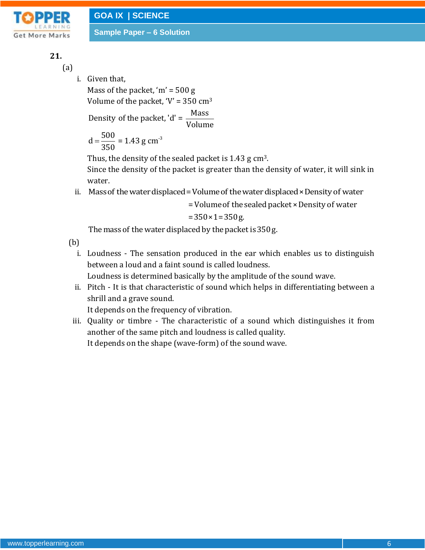

# **21.**

(a)

i. Given that, Mass of the packet, ' $m' = 500 g$ 

Volume of the packet,  $V = 350$  cm<sup>3</sup>

Density of the packet, 'd' =  $\frac{Mass}{N}$ Volume

$$
d = \frac{500}{350} = 1.43 \text{ g cm}^{-3}
$$

Thus, the density of the sealed packet is 1.43 g cm<sup>3</sup>.

Since the density of the packet is greater than the density of water, it will sink in water.

ii. Mass of the water displaced = Volume of the water displaced × Density of water

= Volume of the sealed packet × Density of water

 $= 350 \times 1 = 350$  g.

The mass of the water displaced by the packet is 350 g.

(b)

i. Loudness - The sensation produced in the ear which enables us to distinguish between a loud and a faint sound is called loudness.

Loudness is determined basically by the amplitude of the sound wave.

ii. Pitch - It is that characteristic of sound which helps in differentiating between a shrill and a grave sound.

It depends on the frequency of vibration.

iii. Quality or timbre - The characteristic of a sound which distinguishes it from another of the same pitch and loudness is called quality. It depends on the shape (wave-form) of the sound wave.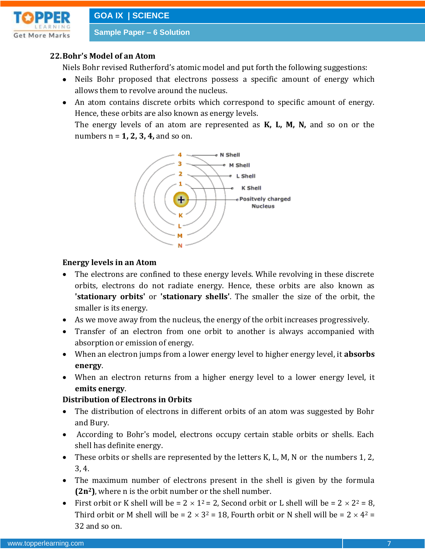

#### **22.Bohr's Model of an Atom**

Niels Bohr revised Rutherford's atomic model and put forth the following suggestions:

- Neils Bohr proposed that electrons possess a specific amount of energy which allows them to revolve around the nucleus.
- An atom contains discrete orbits which correspond to specific amount of energy. Hence, these orbits are also known as energy levels.

The energy levels of an atom are represented as **K, L, M, N,** and so on or the numbers n = **1, 2, 3, 4,** and so on.



#### **Energy levels in an Atom**

- The electrons are confined to these energy levels. While revolving in these discrete orbits, electrons do not radiate energy. Hence, these orbits are also known as **'stationary orbits'** or **'stationary shells'**. The smaller the size of the orbit, the smaller is its energy.
- As we move away from the nucleus, the energy of the orbit increases progressively.
- Transfer of an electron from one orbit to another is always accompanied with absorption or emission of energy.
- When an electron jumps from a lower energy level to higher energy level, it **absorbs energy**.
- When an electron returns from a higher energy level to a lower energy level, it **emits energy**.

#### **Distribution of Electrons in Orbits**

- The distribution of electrons in different orbits of an atom was suggested by Bohr and Bury.
- According to Bohr's model, electrons occupy certain stable orbits or shells. Each shell has definite energy.
- These orbits or shells are represented by the letters K, L, M, N or the numbers 1, 2, 3, 4.
- The maximum number of electrons present in the shell is given by the formula **(2n2)**, where n is the orbit number or the shell number.
- First orbit or K shell will be =  $2 \times 1^2 = 2$ , Second orbit or L shell will be =  $2 \times 2^2 = 8$ , Third orbit or M shell will be =  $2 \times 3^2 = 18$ , Fourth orbit or N shell will be =  $2 \times 4^2 =$ 32 and so on.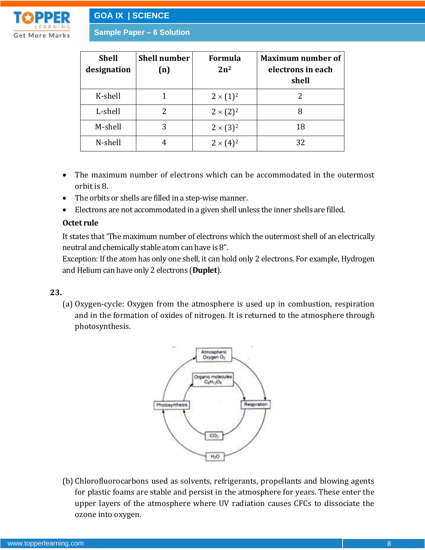

| <b>Shell</b><br>designation | <b>Shell number</b><br>(n) | <b>Formula</b><br>$2n^2$ | <b>Maximum number of</b><br>electrons in each<br>shell |
|-----------------------------|----------------------------|--------------------------|--------------------------------------------------------|
| K-shell                     |                            | $2 \times (1)^2$         |                                                        |
| L-shell                     | 2                          | $2 \times (2)^2$         | 8                                                      |
| M-shell                     | 3                          | $2 \times (3)^2$         | 18                                                     |
| N-shell                     |                            | $2 \times (4)^2$         | 32                                                     |

- The maximum number of electrons which can be accommodated in the outermost orbit is 8.
- The orbits or shells are filled in a step-wise manner.
- Electrons are not accommodated in a given shell unless the inner shells are filled.

#### **Octet rule**

It states that 'The maximum number of electrons which the outermost shell of an electrically neutral and chemically stable atom can have is 8".

Exception: If the atom has only one shell, it can hold only 2 electrons. For example, Hydrogen and Helium can have only 2 electrons (**Duplet**).

#### **23.**

(a) Oxygen-cycle: Oxygen from the atmosphere is used up in combustion, respiration and in the formation of oxides of nitrogen. It is returned to the atmosphere through photosynthesis.



(b) Chlorofluorocarbons used as solvents, refrigerants, propellants and blowing agents for plastic foams are stable and persist in the atmosphere for years. These enter the upper layers of the atmosphere where UV radiation causes CFCs to dissociate the ozone into oxygen.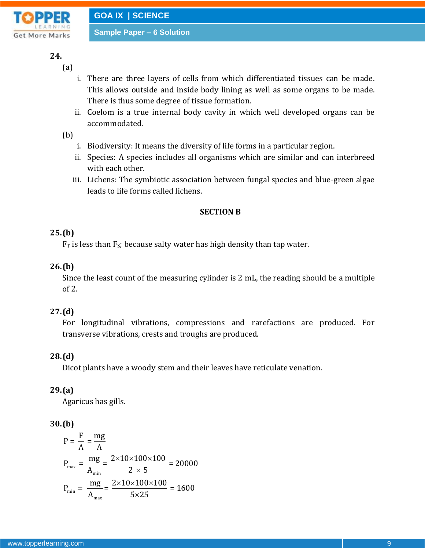

# **24.**

- (a)
	- i. There are three layers of cells from which differentiated tissues can be made. This allows outside and inside body lining as well as some organs to be made. There is thus some degree of tissue formation.
	- ii. Coelom is a true internal body cavity in which well developed organs can be accommodated.

# (b)

- i. Biodiversity: It means the diversity of life forms in a particular region.
- ii. Species: A species includes all organisms which are similar and can interbreed with each other.
- iii. Lichens: The symbiotic association between fungal species and blue-green algae leads to life forms called lichens.

## **SECTION B**

# **25.(b)**

 $F_T$  is less than  $F_S$ ; because salty water has high density than tap water.

# **26.(b)**

Since the least count of the measuring cylinder is 2 mL, the reading should be a multiple of 2.

# **27.(d)**

For longitudinal vibrations, compressions and rarefactions are produced. For transverse vibrations, crests and troughs are produced.

# **28.(d)**

Dicot plants have a woody stem and their leaves have reticulate venation.

## **29.(a)**

Agaricus has gills.

## **30.(b)**

**(b)**  
\n
$$
P = \frac{F}{A} = \frac{mg}{A}
$$
\n
$$
P_{\text{max}} = \frac{mg}{A_{\text{min}}} = \frac{2 \times 10 \times 100 \times 100}{2 \times 5} = 20000
$$
\n
$$
P_{\text{min}} = \frac{mg}{A_{\text{max}}} = \frac{2 \times 10 \times 100 \times 100}{5 \times 25} = 1600
$$